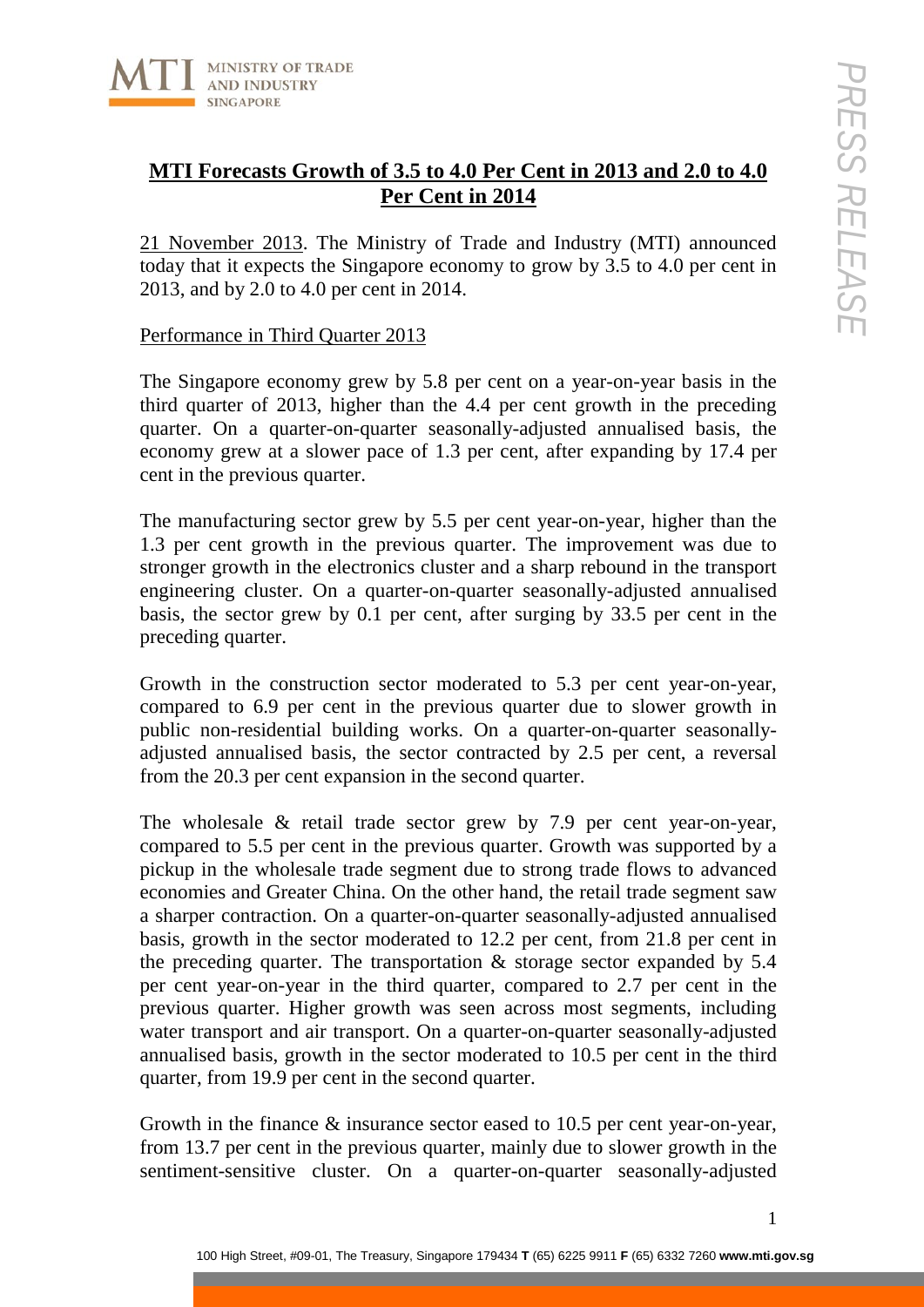

# **MTI Forecasts Growth of 3.5 to 4.0 Per Cent in 2013 and 2.0 to 4.0 Per Cent in 2014**

21 November 2013. The Ministry of Trade and Industry (MTI) announced today that it expects the Singapore economy to grow by 3.5 to 4.0 per cent in 2013, and by 2.0 to 4.0 per cent in 2014.

# Performance in Third Quarter 2013

The Singapore economy grew by 5.8 per cent on a year-on-year basis in the third quarter of 2013, higher than the 4.4 per cent growth in the preceding quarter. On a quarter-on-quarter seasonally-adjusted annualised basis, the economy grew at a slower pace of 1.3 per cent, after expanding by 17.4 per cent in the previous quarter.

The manufacturing sector grew by 5.5 per cent year-on-year, higher than the 1.3 per cent growth in the previous quarter. The improvement was due to stronger growth in the electronics cluster and a sharp rebound in the transport engineering cluster. On a quarter-on-quarter seasonally-adjusted annualised basis, the sector grew by 0.1 per cent, after surging by 33.5 per cent in the preceding quarter.

Growth in the construction sector moderated to 5.3 per cent year-on-year, compared to 6.9 per cent in the previous quarter due to slower growth in public non-residential building works. On a quarter-on-quarter seasonallyadjusted annualised basis, the sector contracted by 2.5 per cent, a reversal from the 20.3 per cent expansion in the second quarter.

The wholesale & retail trade sector grew by 7.9 per cent year-on-year, compared to 5.5 per cent in the previous quarter. Growth was supported by a pickup in the wholesale trade segment due to strong trade flows to advanced economies and Greater China. On the other hand, the retail trade segment saw a sharper contraction. On a quarter-on-quarter seasonally-adjusted annualised basis, growth in the sector moderated to 12.2 per cent, from 21.8 per cent in the preceding quarter. The transportation & storage sector expanded by 5.4 per cent year-on-year in the third quarter, compared to 2.7 per cent in the previous quarter. Higher growth was seen across most segments, including water transport and air transport. On a quarter-on-quarter seasonally-adjusted annualised basis, growth in the sector moderated to 10.5 per cent in the third quarter, from 19.9 per cent in the second quarter.

Growth in the finance & insurance sector eased to 10.5 per cent year-on-year, from 13.7 per cent in the previous quarter, mainly due to slower growth in the sentiment-sensitive cluster. On a quarter-on-quarter seasonally-adjusted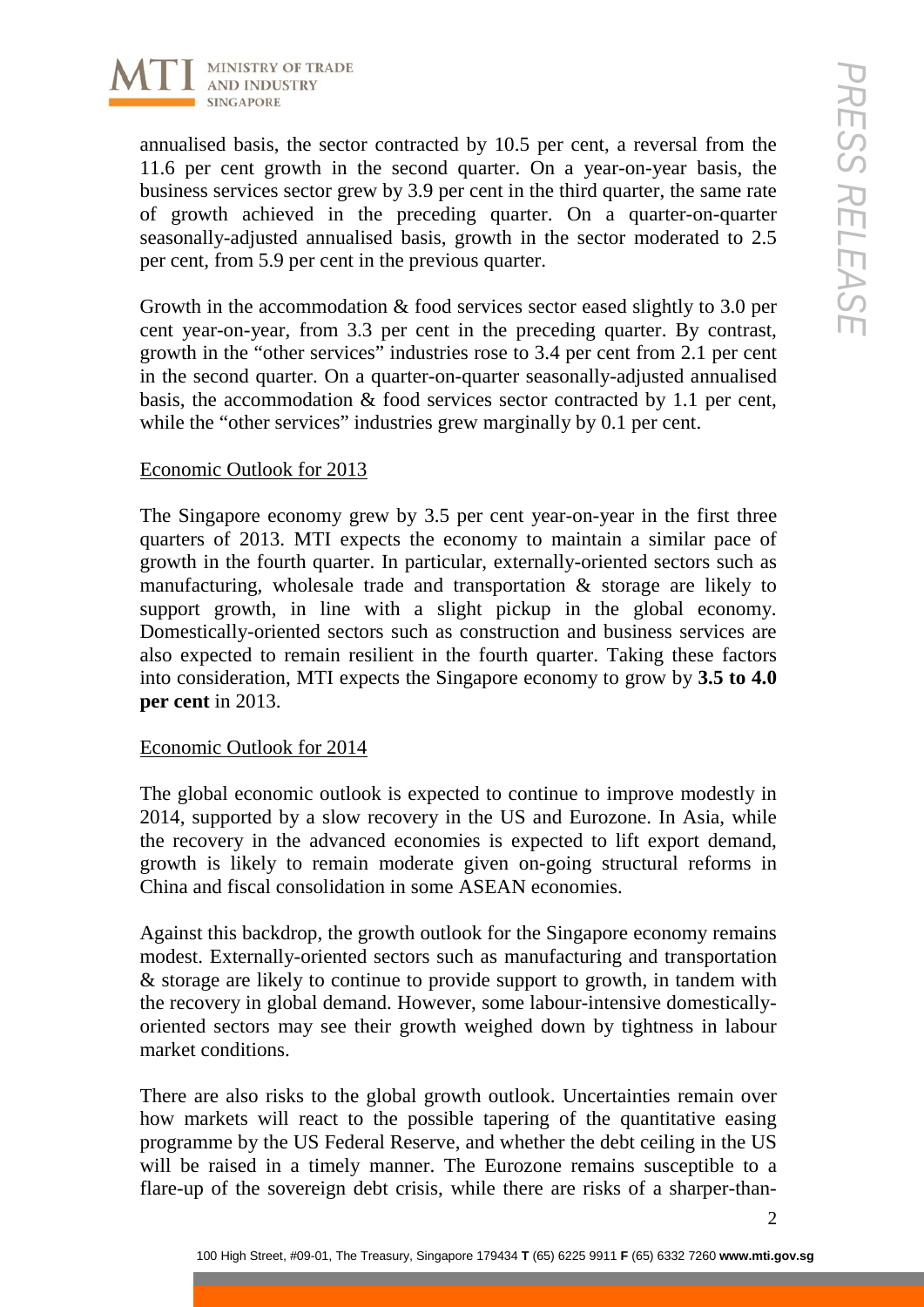

annualised basis, the sector contracted by 10.5 per cent, a reversal from the 11.6 per cent growth in the second quarter. On a year-on-year basis, the business services sector grew by 3.9 per cent in the third quarter, the same rate of growth achieved in the preceding quarter. On a quarter-on-quarter seasonally-adjusted annualised basis, growth in the sector moderated to 2.5 per cent, from 5.9 per cent in the previous quarter.

Growth in the accommodation & food services sector eased slightly to 3.0 per cent year-on-year, from 3.3 per cent in the preceding quarter. By contrast, growth in the "other services" industries rose to 3.4 per cent from 2.1 per cent in the second quarter. On a quarter-on-quarter seasonally-adjusted annualised basis, the accommodation & food services sector contracted by 1.1 per cent, while the "other services" industries grew marginally by 0.1 per cent.

# Economic Outlook for 2013

The Singapore economy grew by 3.5 per cent year-on-year in the first three quarters of 2013. MTI expects the economy to maintain a similar pace of growth in the fourth quarter. In particular, externally-oriented sectors such as manufacturing, wholesale trade and transportation & storage are likely to support growth, in line with a slight pickup in the global economy. Domestically-oriented sectors such as construction and business services are also expected to remain resilient in the fourth quarter. Taking these factors into consideration, MTI expects the Singapore economy to grow by **3.5 to 4.0 per cent** in 2013.

## Economic Outlook for 2014

The global economic outlook is expected to continue to improve modestly in 2014, supported by a slow recovery in the US and Eurozone. In Asia, while the recovery in the advanced economies is expected to lift export demand, growth is likely to remain moderate given on-going structural reforms in China and fiscal consolidation in some ASEAN economies.

Against this backdrop, the growth outlook for the Singapore economy remains modest. Externally-oriented sectors such as manufacturing and transportation & storage are likely to continue to provide support to growth, in tandem with the recovery in global demand. However, some labour-intensive domesticallyoriented sectors may see their growth weighed down by tightness in labour market conditions.

There are also risks to the global growth outlook. Uncertainties remain over how markets will react to the possible tapering of the quantitative easing programme by the US Federal Reserve, and whether the debt ceiling in the US will be raised in a timely manner. The Eurozone remains susceptible to a flare-up of the sovereign debt crisis, while there are risks of a sharper-than-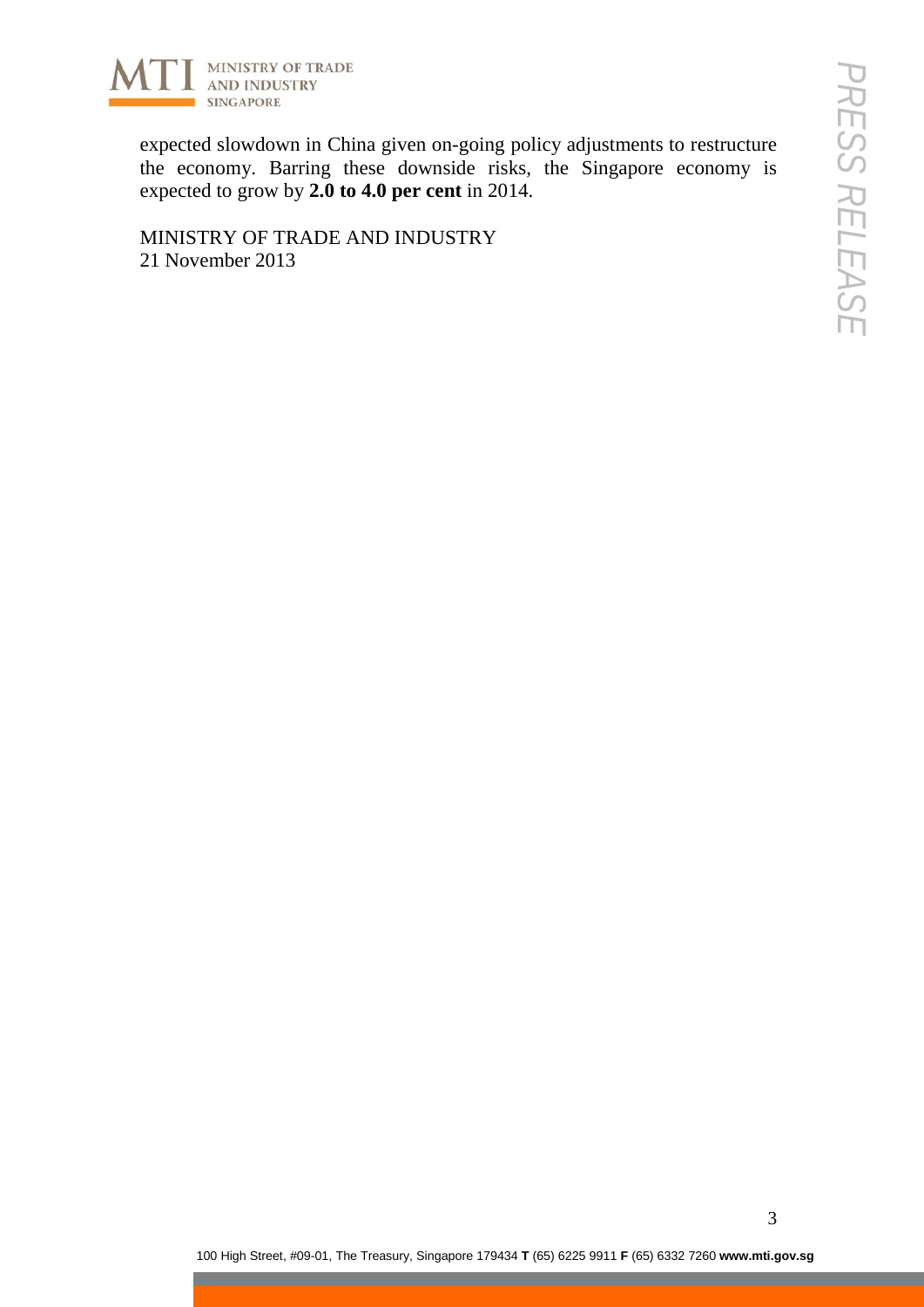

expected slowdown in China given on-going policy adjustments to restructure the economy. Barring these downside risks, the Singapore economy is expected to grow by **2.0 to 4.0 per cent** in 2014.

MINISTRY OF TRADE AND INDUSTRY 21 November 2013